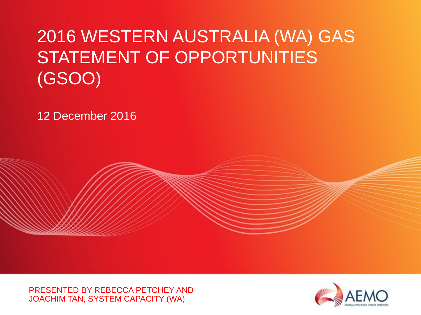# 2016 WESTERN AUSTRALIA (WA) GAS STATEMENT OF OPPORTUNITIES (GSOO)

12 December 2016

PRESENTED BY REBECCA PETCHEY AND JOACHIM TAN, SYSTEM CAPACITY (WA)

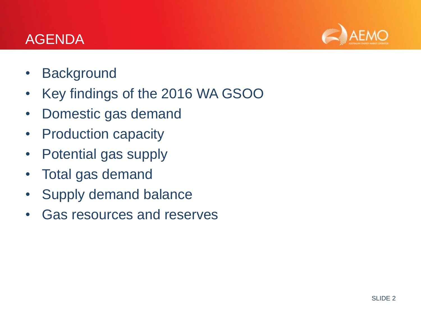### AGENDA



- Background
- Key findings of the 2016 WA GSOO
- Domestic gas demand
- Production capacity
- Potential gas supply
- Total gas demand
- Supply demand balance
- Gas resources and reserves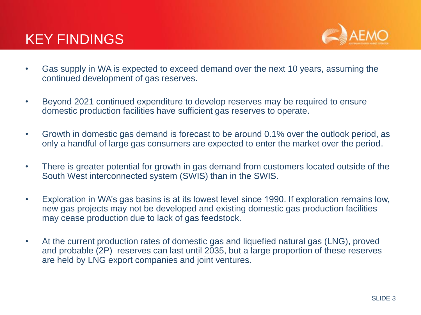### KEY FINDINGS



- Gas supply in WA is expected to exceed demand over the next 10 years, assuming the continued development of gas reserves.
- Beyond 2021 continued expenditure to develop reserves may be required to ensure domestic production facilities have sufficient gas reserves to operate.
- Growth in domestic gas demand is forecast to be around 0.1% over the outlook period, as only a handful of large gas consumers are expected to enter the market over the period.
- There is greater potential for growth in gas demand from customers located outside of the South West interconnected system (SWIS) than in the SWIS.
- Exploration in WA's gas basins is at its lowest level since 1990. If exploration remains low, new gas projects may not be developed and existing domestic gas production facilities may cease production due to lack of gas feedstock.
- At the current production rates of domestic gas and liquefied natural gas (LNG), proved and probable (2P) reserves can last until 2035, but a large proportion of these reserves are held by LNG export companies and joint ventures.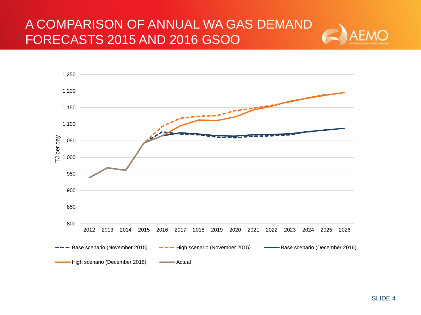#### A COMPARISON OF ANNUAL WA GAS DEMAND FORECASTS 2015 AND 2016 GSOO



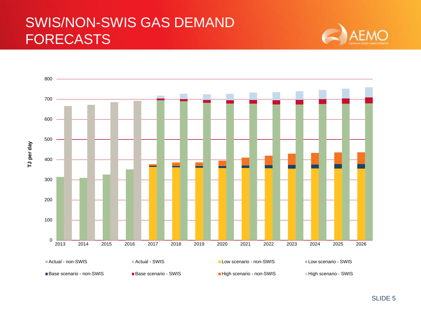### SWIS/NON-SWIS GAS DEMAND FORECASTS





SLIDE 5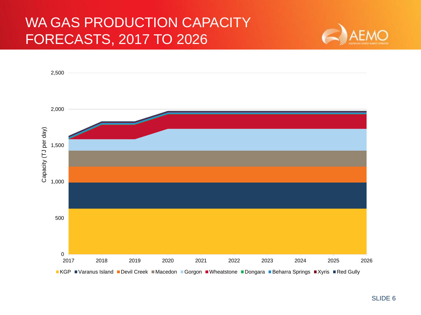### WA GAS PRODUCTION CAPACITY FORECASTS, 2017 TO 2026



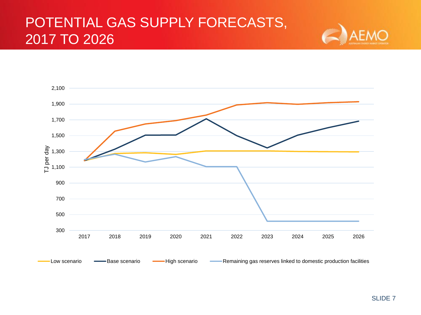## POTENTIAL GAS SUPPLY FORECASTS, 2017 TO 2026



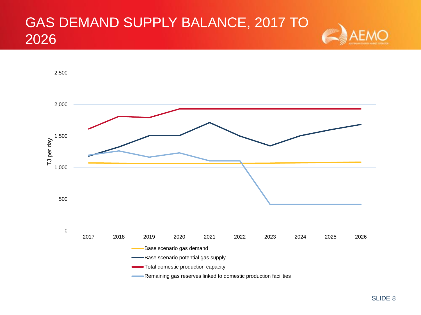#### GAS DEMAND SUPPLY BALANCE, 2017 TO 2026



 $\Delta$ FAA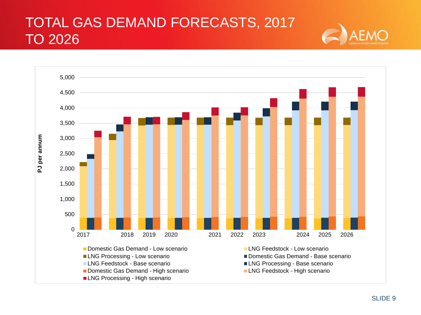## TOTAL GAS DEMAND FORECASTS, 2017 TO 2026

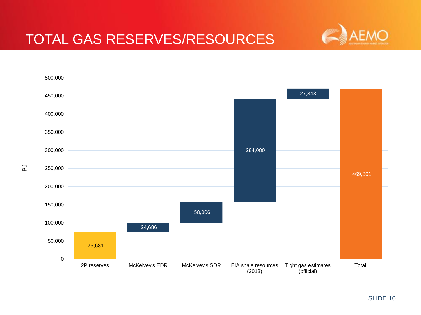

#### TOTAL GAS RESERVES/RESOURCES



 $\overline{a}$